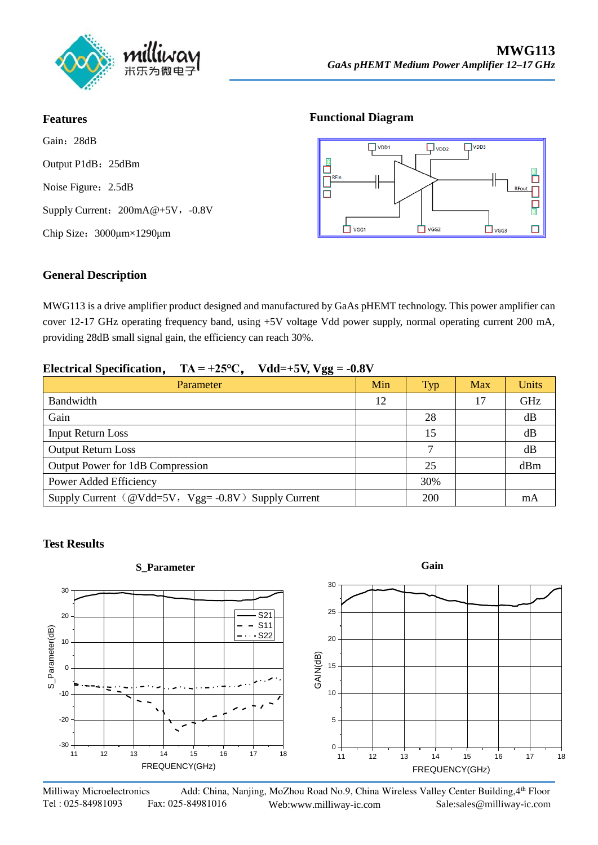

#### **Features**

Gain:28dB Output P1dB: 25dBm Noise Figure: 2.5dB Supply Current:  $200mA@+5V$ , -0.8V Chip Size:3000μm×1290μm

#### **Functional Diagram**



### **General Description**

MWG113 is a drive amplifier product designed and manufactured by GaAs pHEMT technology. This power amplifier can cover 12-17 GHz operating frequency band, using +5V voltage Vdd power supply, normal operating current 200 mA, providing 28dB small signal gain, the efficiency can reach 30%.

#### **Electrical Specification,**  $TA = +25\degree C$ ,  $Vdd = +5V$ ,  $Vgg = -0.8V$

| Parameter                                          | Min | <b>Typ</b> | <b>Max</b> | Units |
|----------------------------------------------------|-----|------------|------------|-------|
| Bandwidth                                          | 12  |            | 17         | GHz   |
| Gain                                               |     | 28         |            | dB    |
| <b>Input Return Loss</b>                           |     | 15         |            | dB    |
| <b>Output Return Loss</b>                          |     | ┑          |            | dB    |
| Output Power for 1dB Compression                   |     | 25         |            | dBm   |
| Power Added Efficiency                             |     | 30%        |            |       |
| Supply Current (@Vdd=5V, Vgg=-0.8V) Supply Current |     | 200        |            | mA    |

#### **Test Results**



Milliway Microelectronics Add: China, Nanjing, MoZhou Road No.9, China Wireless Valley Center Building, 4th Floor Tel : 025-84981093 Fax: 025-84981016 Web:www.milliway-ic.com Sale:sales@milliway-ic.com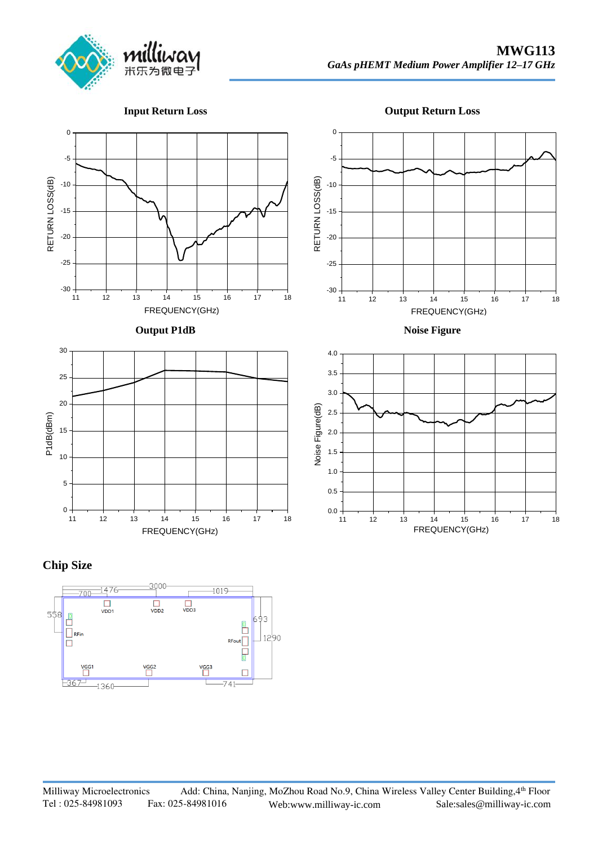

**Input Return Loss**

**Output Return Loss**